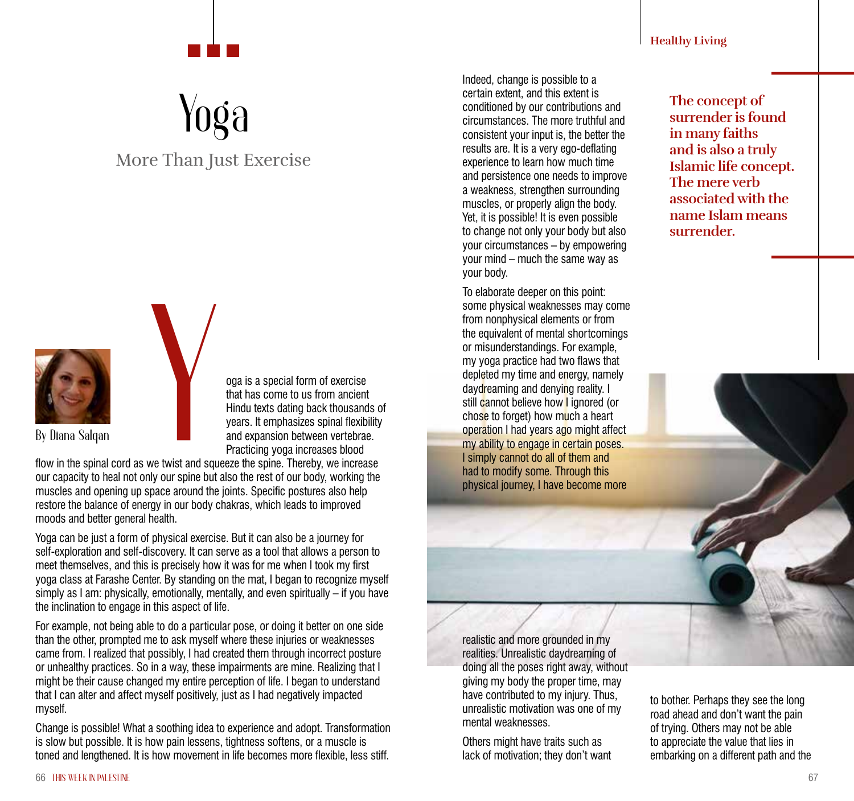**Healthy Living**

## Yoga

## More Than Just Exercise



oga is a special form of exercise that has come to us from ancient Hindu texts dating back thousands of years. It emphasizes spinal flexibility and expansion between vertebrae. Practicing yoga increases blood

flow in the spinal cord as we twist and squeeze the spine. Thereby, we increase our capacity to heal not only our spine but also the rest of our body, working the muscles and opening up space around the joints. Specific postures also help restore the balance of energy in our body chakras, which leads to improved moods and better general health.

Yoga can be just a form of physical exercise. But it can also be a journey for self-exploration and self-discovery. It can serve as a tool that allows a person to meet themselves, and this is precisely how it was for me when I took my first yoga class at Farashe Center. By standing on the mat, I began to recognize myself simply as I am: physically, emotionally, mentally, and even spiritually – if you have the inclination to engage in this aspect of life.

For example, not being able to do a particular pose, or doing it better on one side than the other, prompted me to ask myself where these injuries or weaknesses came from. I realized that possibly, I had created them through incorrect posture or unhealthy practices. So in a way, these impairments are mine. Realizing that I might be their cause changed my entire perception of life. I began to understand that I can alter and affect myself positively, just as I had negatively impacted myself.

Change is possible! What a soothing idea to experience and adopt. Transformation is slow but possible. It is how pain lessens, tightness softens, or a muscle is toned and lengthened. It is how movement in life becomes more flexible, less stiff.

Indeed, change is possible to a certain extent, and this extent is conditioned by our contributions and circumstances. The more truthful and consistent your input is, the better the results are. It is a very ego-deflating experience to learn how much time and persistence one needs to improve a weakness, strengthen surrounding muscles, or properly align the body. Yet, it is possible! It is even possible to change not only your body but also your circumstances – by empowering your mind – much the same way as your body.

To elaborate deeper on this point: some physical weaknesses may come from nonphysical elements or from the equivalent of mental shortcomings or misunderstandings. For example, my yoga practice had two flaws that depleted my time and energy, namely daydreaming and denying reality. I still cannot believe how I ignored (or chose to forget) how much a heart operation I had years ago might affect my ability to engage in certain poses. I simply cannot do all of them and had to modify some. Through this physical journey, I have become more

**The concept of surrender is found in many faiths and is also a truly Islamic life concept. The mere verb associated with the name Islam means surrender.** 

realistic and more grounded in my realities. Unrealistic daydreaming of doing all the poses right away, without giving my body the proper time, may have contributed to my injury. Thus, unrealistic motivation was one of my mental weaknesses.

Others might have traits such as lack of motivation; they don't want to bother. Perhaps they see the long road ahead and don't want the pain of trying. Others may not be able to appreciate the value that lies in embarking on a different path and the